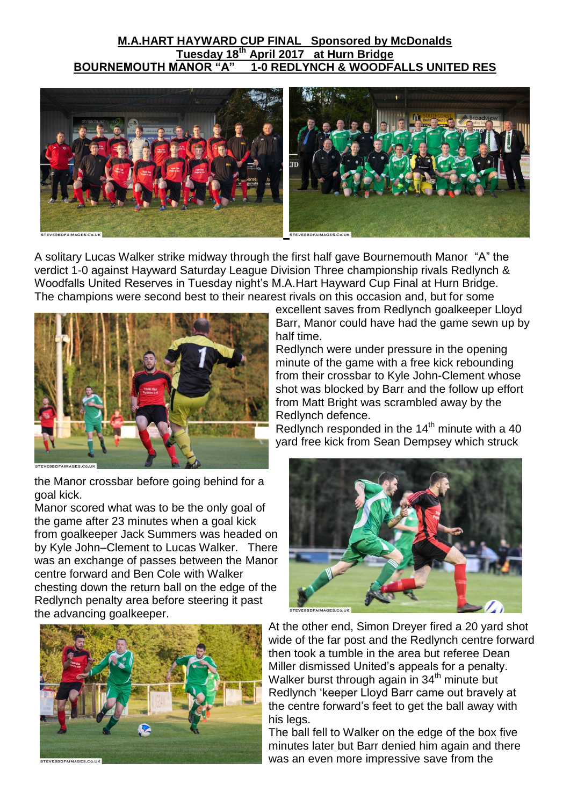## **M.A.HART HAYWARD CUP FINAL Sponsored by McDonalds Tuesday 18<sup>th</sup> April 2017 at Hurn Bridge<br>BOURNEMOUTH MANOR "A" 1-0 REDLYNCH & WOODF/ 1-0 REDLYNCH & WOODFALLS UNITED RES**



A solitary Lucas Walker strike midway through the first half gave Bournemouth Manor "A" the verdict 1-0 against Hayward Saturday League Division Three championship rivals Redlynch & Woodfalls United Reserves in Tuesday night"s M.A.Hart Hayward Cup Final at Hurn Bridge. The champions were second best to their nearest rivals on this occasion and, but for some



the Manor crossbar before going behind for a goal kick.

Manor scored what was to be the only goal of the game after 23 minutes when a goal kick from goalkeeper Jack Summers was headed on by Kyle John–Clement to Lucas Walker. There was an exchange of passes between the Manor centre forward and Ben Cole with Walker chesting down the return ball on the edge of the Redlynch penalty area before steering it past the advancing goalkeeper.



excellent saves from Redlynch goalkeeper Lloyd Barr, Manor could have had the game sewn up by half time.

Redlynch were under pressure in the opening minute of the game with a free kick rebounding from their crossbar to Kyle John-Clement whose shot was blocked by Barr and the follow up effort from Matt Bright was scrambled away by the Redlynch defence.

Redlynch responded in the  $14<sup>th</sup>$  minute with a 40 yard free kick from Sean Dempsey which struck



At the other end, Simon Dreyer fired a 20 yard shot wide of the far post and the Redlynch centre forward then took a tumble in the area but referee Dean Miller dismissed United's appeals for a penalty. Walker burst through again in 34<sup>th</sup> minute but Redlynch "keeper Lloyd Barr came out bravely at the centre forward"s feet to get the ball away with his legs.

The ball fell to Walker on the edge of the box five minutes later but Barr denied him again and there was an even more impressive save from the